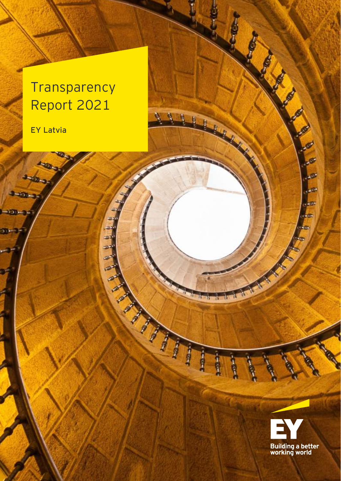## **Transparency** Report 2021

æ

 $\triangle$ 

22

فت

 $\overline{\mathbf{w}}$ œ

ø

111

r. ù.

f

f

f

tir ng

tц

ļ

ť. ü

**PER** 

EY Latvia

**AND** 

300

 $+0.3$ 

150-35

m 25

فيهم

a4



Ø

**CO** 

**AND** 

**Lett** 

 $\frac{1}{16}$  and

**Card** 

**SOP** 

ria.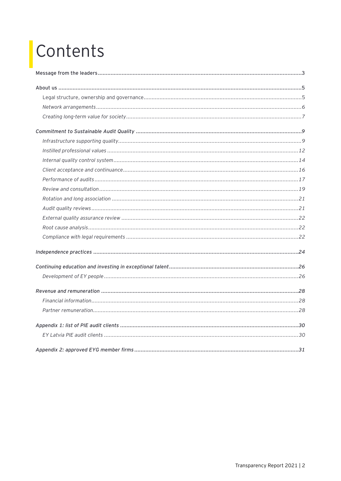# Contents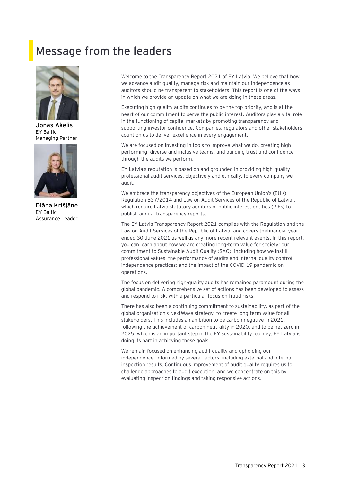## <span id="page-2-0"></span>**Message from the leaders**



**Jonas Akelis** EY Baltic Managing Partner



**Diāna Krišjāne** EY Baltic Assurance Leader

Welcome to the Transparency Report 2021 of EY Latvia. We believe that how we advance audit quality, manage risk and maintain our independence as auditors should be transparent to stakeholders. This report is one of the ways in which we provide an update on what we are doing in these areas.

Executing high-quality audits continues to be the top priority, and is at the heart of our commitment to serve the public interest. Auditors play a vital role in the functioning of capital markets by promoting transparency and supporting investor confidence. Companies, regulators and other stakeholders count on us to deliver excellence in every engagement.

We are focused on investing in tools to improve what we do, creating highperforming, diverse and inclusive teams, and building trust and confidence through the audits we perform.

EY Latvia's reputation is based on and grounded in providing high-quality professional audit services, objectively and ethically, to every company we audit.

We embrace the transparency objectives of the European Union's (EU's) Regulation 537/2014 and Law on Audit Services of the Republic of Latvia , which require Latvia statutory auditors of public interest entities (PIEs) to publish annual transparency reports.

The EY Latvia Transparency Report 2021 complies with the Regulation and the Law on Audit Services of the Republic of Latvia, and covers thefinancial year ended 30 June 2021 as well as any more recent relevant events. In this report, you can learn about how we are creating long-term value for society; our commitment to Sustainable Audit Quality (SAQ), including how we instill professional values, the performance of audits and internal quality control; independence practices; and the impact of the COVID-19 pandemic on operations.

The focus on delivering high-quality audits has remained paramount during the global pandemic. A comprehensive set of actions has been developed to assess and respond to risk, with a particular focus on fraud risks.

There has also been a continuing commitment to sustainability, as part of the global organization's NextWave strategy, to create long-term value for all stakeholders. This includes an ambition to be carbon negative in 2021, following the achievement of carbon neutrality in 2020, and to be net zero in 2025, which is an important step in the EY sustainability journey. EY Latvia is doing its part in achieving these goals.

We remain focused on enhancing audit quality and upholding our independence, informed by several factors, including external and internal inspection results. Continuous improvement of audit quality requires us to challenge approaches to audit execution, and we concentrate on this by evaluating inspection findings and taking responsive actions.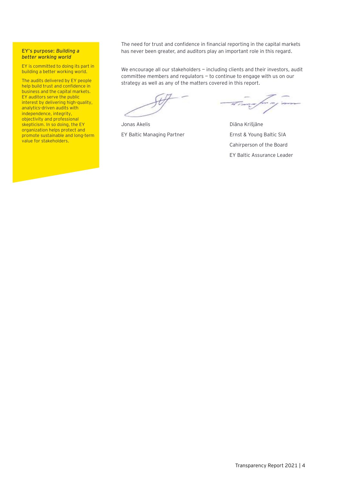#### **EY's purpose:** *Building a better working world*

EY is committed to doing its part in building a better working world.

The audits delivered by EY people help build trust and confidence in business and the capital markets. EY auditors serve the public interest by delivering high-quality, analytics-driven audits with independence, integrity, objectivity and professional skepticism. In so doing, the EY organization helps protect and promote sustainable and long-term value for stakeholders.

The need for trust and confidence in financial reporting in the capital markets has never been greater, and auditors play an important role in this regard.

We encourage all our stakeholders - including clients and their investors, audit committee members and regulators — to continue to engage with us on our strategy as well as any of the matters covered in this report.

Jonas Akelis **Diāna Krišjāne** 

EY Baltic Managing Partner Frank Ernst & Young Baltic SIA Cahirperson of the Board EY Baltic Assurance Leader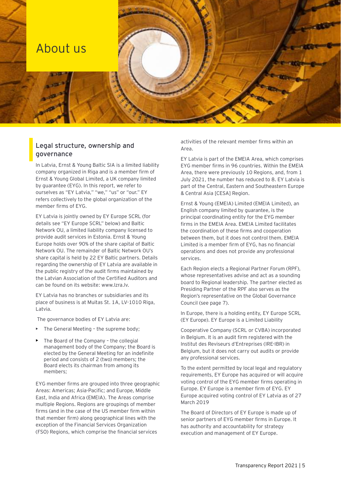### <span id="page-4-0"></span>About us

#### **Legal structure, ownership and governance**

In Latvia, Ernst & Young Baltic SIA is a limited liability company organized in Riga and is a member firm of Ernst & Young Global Limited, a UK company limited by guarantee (EYG). In this report, we refer to ourselves as "EY Latvia," "we," "us" or "our." EY refers collectively to the global organization of the member firms of EYG.

EY Latvia is jointly owned by EY Europe SCRL (for details see "EY Europe SCRL" below) and Baltic Network OU, a limited liability company licensed to provide audit services in Estonia. Ernst & Young Europe holds over 90% of the share capital of Baltic Network OU. The remainder of Baltic Network OU's share capital is held by 22 EY Baltic partners. Details regarding the ownership of EY Latvia are available in the public registry of the audit firms maintained by the Latvian Association of the Certified Auditors and can be found on its website: [www.lzra.lv.](http://www.lzra.lv/)

EY Latvia has no branches or subsidiaries and its place of business is at Muitas St. 1A, LV-1010 Riga, Latvia.

The governance bodies of EY Latvia are:

- The General Meeting the supreme body;
- The Board of the Company the collegial management body of the Company; the Board is elected by the General Meeting for an indefinite period and consists of 2 (two) members; the Board elects its chairman from among its members;

EYG member firms are grouped into three geographic Areas: Americas; Asia-Pacific; and Europe, Middle East, India and Africa (EMEIA). The Areas comprise multiple Regions. Regions are groupings of member firms (and in the case of the US member firm within that member firm) along geographical lines with the exception of the Financial Services Organization (FSO) Regions, which comprise the financial services

activities of the relevant member firms within an Area.

EY Latvia is part of the EMEIA Area, which comprises EYG member firms in 96 countries. Within the EMEIA Area, there were previously 10 Regions, and, from 1 July 2021, the number has reduced to 8. EY Latvia is part of the Central, Eastern and Southeastern Europe & Central Asia [CESA] Region.

Ernst & Young (EMEIA) Limited (EMEIA Limited), an English company limited by guarantee, is the principal coordinating entity for the EYG member firms in the EMEIA Area. EMEIA Limited facilitates the coordination of these firms and cooperation between them, but it does not control them. EMEIA Limited is a member firm of EYG, has no financial operations and does not provide any professional services.

Each Region elects a Regional Partner Forum (RPF), whose representatives advise and act as a sounding board to Regional leadership. The partner elected as Presiding Partner of the RPF also serves as the Region's representative on the Global Governance Council (see page 7).

In Europe, there is a holding entity, EY Europe SCRL (EY Europe). EY Europe is a Limited Liability

Cooperative Company (SCRL or CVBA) incorporated in Belgium. It is an audit firm registered with the Institut des Reviseurs d'Entreprises (IRE-IBR) in Belgium, but it does not carry out audits or provide any professional services.

To the extent permitted by local legal and regulatory requirements, EY Europe has acquired or will acquire voting control of the EYG member firms operating in Europe. EY Europe is a member firm of EYG. EY Europe acquired voting control of EY Latvia as of 27 March 2019

The Board of Directors of EY Europe is made up of senior partners of EYG member firms in Europe. It has authority and accountability for strategy execution and management of EY Europe.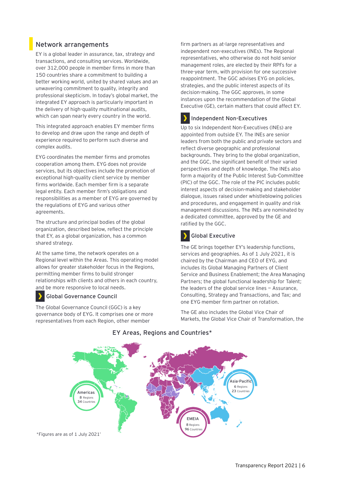#### <span id="page-5-0"></span>**Network arrangements**

EY is a global leader in assurance, tax, strategy and transactions, and consulting services. Worldwide, over 312,000 people in member firms in more than 150 countries share a commitment to building a better working world, united by shared values and an unwavering commitment to quality, integrity and professional skepticism. In today's global market, the integrated EY approach is particularly important in the delivery of high-quality multinational audits, which can span nearly every country in the world.

This integrated approach enables EY member firms to develop and draw upon the range and depth of experience required to perform such diverse and complex audits.

EYG coordinates the member firms and promotes cooperation among them. EYG does not provide services, but its objectives include the promotion of exceptional high-quality client service by member firms worldwide. Each member firm is a separate legal entity. Each member firm's obligations and responsibilities as a member of EYG are governed by the regulations of EYG and various other agreements.

The structure and principal bodies of the global organization, described below, reflect the principle that EY, as a global organization, has a common shared strategy.

At the same time, the network operates on a Regional level within the Areas. This operating model allows for greater stakeholder focus in the Regions, permitting member firms to build stronger relationships with clients and others in each country, and be more responsive to local needs.

#### **Global Governance Council**

The Global Governance Council (GGC) is a key governance body of EYG. It comprises one or more representatives from each Region, other member

firm partners as at-large representatives and independent non-executives (INEs). The Regional representatives, who otherwise do not hold senior management roles, are elected by their RPFs for a three-year term, with provision for one successive reappointment. The GGC advises EYG on policies, strategies, and the public interest aspects of its decision-making. The GGC approves, in some instances upon the recommendation of the Global Executive (GE), certain matters that could affect EY.

#### **Independent Non-Executives**

Up to six Independent Non-Executives (INEs) are appointed from outside EY. The INEs are senior leaders from both the public and private sectors and reflect diverse geographic and professional backgrounds. They bring to the global organization, and the GGC, the significant benefit of their varied perspectives and depth of knowledge. The INEs also form a majority of the Public Interest Sub-Committee (PIC) of the GGC. The role of the PIC includes public interest aspects of decision-making and stakeholder dialogue, issues raised under whistleblowing policies and procedures, and engagement in quality and risk management discussions. The INEs are nominated by a dedicated committee, approved by the GE and ratified by the GGC.

**Global Executive**

The GE brings together EY's leadership functions, services and geographies. As of 1 July 2021, it is chaired by the Chairman and CEO of EYG, and includes its Global Managing Partners of Client Service and Business Enablement; the Area Managing Partners; the global functional leadership for Talent; the leaders of the global service lines — Assurance, Consulting, Strategy and Transactions, and Tax; and one EYG member firm partner on rotation.

The GE also includes the Global Vice Chair of Markets, the Global Vice Chair of Transformation, the



#### **EY Areas, Regions and Countries\***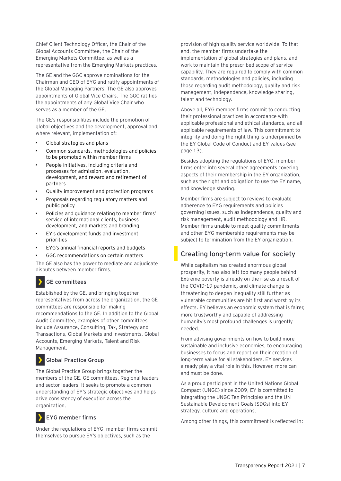Chief Client Technology Officer, the Chair of the Global Accounts Committee, the Chair of the Emerging Markets Committee, as well as a representative from the Emerging Markets practices.

The GE and the GGC approve nominations for the Chairman and CEO of EYG and ratify appointments of the Global Managing Partners. The GE also approves appointments of Global Vice Chairs. The GGC ratifies the appointments of any Global Vice Chair who serves as a member of the GE.

The GE's responsibilities include the promotion of global objectives and the development, approval and, where relevant, implementation of:

- Global strategies and plans
- Common standards, methodologies and policies to be promoted within member firms
- People initiatives, including criteria and processes for admission, evaluation, development, and reward and retirement of partners
- Quality improvement and protection programs
- Proposals regarding regulatory matters and public policy
- Policies and guidance relating to member firms' service of international clients, business development, and markets and branding
- EY's development funds and investment priorities
- EYG's annual financial reports and budgets
- GGC recommendations on certain matters

The GE also has the power to mediate and adjudicate disputes between member firms.

#### **GE committees**

Established by the GE, and bringing together representatives from across the organization, the GE committees are responsible for making recommendations to the GE. In addition to the Global Audit Committee, examples of other committees include Assurance, Consulting, Tax, Strategy and Transactions, Global Markets and Investments, Global Accounts, Emerging Markets, Talent and Risk Management.

#### **Global Practice Group**

The Global Practice Group brings together the members of the GE, GE committees, Regional leaders and sector leaders. It seeks to promote a common understanding of EY's strategic objectives and helps drive consistency of execution across the organization.

#### **EYG member firms**

Under the regulations of EYG, member firms commit themselves to pursue EY's objectives, such as the

provision of high-quality service worldwide. To that end, the member firms undertake the implementation of global strategies and plans, and work to maintain the prescribed scope of service capability. They are required to comply with common standards, methodologies and policies, including those regarding audit methodology, quality and risk management, independence, knowledge sharing, talent and technology.

Above all, EYG member firms commit to conducting their professional practices in accordance with applicable professional and ethical standards, and all applicable requirements of law. This commitment to integrity and doing the right thing is underpinned by the EY Global Code of Conduct and EY values (see page 13).

Besides adopting the regulations of EYG, member firms enter into several other agreements covering aspects of their membership in the EY organization, such as the right and obligation to use the EY name, and knowledge sharing.

Member firms are subject to reviews to evaluate adherence to EYG requirements and policies governing issues, such as independence, quality and risk management, audit methodology and HR. Member firms unable to meet quality commitments and other EYG membership requirements may be subject to termination from the EY organization.

### <span id="page-6-0"></span>**Creating long-term value for society**

While capitalism has created enormous global prosperity, it has also left too many people behind. Extreme poverty is already on the rise as a result of the COVID-19 pandemic, and climate change is threatening to deepen inequality still further as vulnerable communities are hit first and worst by its effects. EY believes an economic system that is fairer, more trustworthy and capable of addressing humanity's most profound challenges is urgently needed.

From advising governments on how to build more sustainable and inclusive economies, to encouraging businesses to focus and report on their creation of long-term value for all stakeholders, EY services already play a vital role in this. However, more can and must be done.

As a proud participant in the United Nations Global Compact (UNGC) since 2009, EY is committed to integrating the UNGC Ten Principles and the UN Sustainable Development Goals (SDGs) into EY strategy, culture and operations.

Among other things, this commitment is reflected in: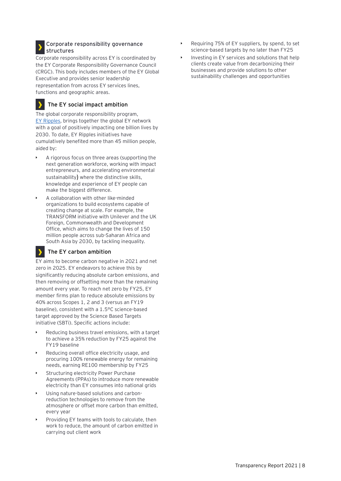#### **Corporate responsibility governance structures**

Corporate responsibility across EY is coordinated by the EY Corporate Responsibility Governance Council (CRGC). This body includes members of the EY Global Executive and provides senior leadership representation from across EY services lines, functions and geographic areas.

#### **The EY social impact ambition**

The global corporate responsibility program, [EY Ripples,](http://ey.com/eyripples) brings together the global EY network with a goal of positively impacting one billion lives by 2030. To date, EY Ripples initiatives have cumulatively benefited more than 45 million people, aided by:

- A rigorous focus on three areas (supporting the next generation workforce, working with impact entrepreneurs, and accelerating environmental sustainability) where the distinctive skills, knowledge and experience of EY people can make the biggest difference.
- A collaboration with other like-minded organizations to build ecosystems capable of creating change at scale. For example, the TRANSFORM initiative with Unilever and the UK Foreign, Commonwealth and Development Office, which aims to change the lives of 150 million people across sub-Saharan Africa and South Asia by 2030, by tackling inequality.

#### У **The EY carbon ambition**

EY aims to become carbon negative in 2021 and net zero in 2025. EY endeavors to achieve this by significantly reducing absolute carbon emissions, and then removing or offsetting more than the remaining amount every year. To reach net zero by FY25, EY member firms plan to reduce absolute emissions by 40% across Scopes 1, 2 and 3 (versus an FY19 baseline), consistent with a 1.5°C science-based target approved by the Science Based Targets initiative (SBTi). Specific actions include:

- Reducing business travel emissions, with a target to achieve a 35% reduction by FY25 against the FY19 baseline
- Reducing overall office electricity usage, and procuring 100% renewable energy for remaining needs, earning RE100 membership by FY25
- Structuring electricity Power Purchase Agreements (PPAs) to introduce more renewable electricity than EY consumes into national grids
- Using nature-based solutions and carbonreduction technologies to remove from the atmosphere or offset more carbon than emitted, every year
- Providing EY teams with tools to calculate, then work to reduce, the amount of carbon emitted in carrying out client work
- Requiring 75% of EY suppliers, by spend, to set science-based targets by no later than FY25
- Investing in EY services and solutions that help clients create value from decarbonizing their businesses and provide solutions to other sustainability challenges and opportunities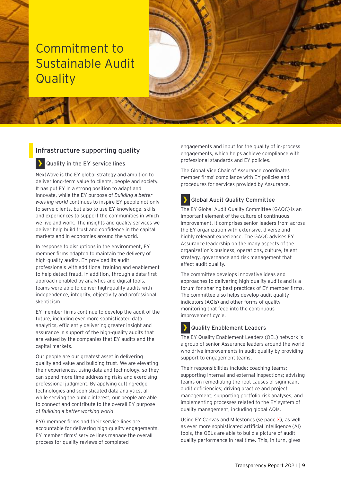## <span id="page-8-0"></span>Commitment to Sustainable Audit **Quality**

### <span id="page-8-1"></span>**Infrastructure supporting quality**

#### **Quality in the EY service lines**

NextWave is the EY global strategy and ambition to deliver long-term value to clients, people and society. It has put EY in a strong position to adapt and innovate, while the EY purpose of *Building a better working world* continues to inspire EY people not only to serve clients, but also to use EY knowledge, skills and experiences to support the communities in which we live and work. The insights and quality services we deliver help build trust and confidence in the capital markets and in economies around the world.

In response to disruptions in the environment, EY member firms adapted to maintain the delivery of high-quality audits. EY provided its audit professionals with additional training and enablement to help detect fraud. In addition, through a data-first approach enabled by analytics and digital tools, teams were able to deliver high-quality audits with independence, integrity, objectivity and professional skepticism.

EY member firms continue to develop the audit of the future, including ever more sophisticated data analytics, efficiently delivering greater insight and assurance in support of the high-quality audits that are valued by the companies that EY audits and the capital markets.

Our people are our greatest asset in delivering quality and value and building trust. We are elevating their experiences, using data and technology, so they can spend more time addressing risks and exercising professional judgment. By applying cutting-edge technologies and sophisticated data analytics, all while serving the public interest, our people are able to connect and contribute to the overall EY purpose of *Building a better working world.*

EYG member firms and their service lines are accountable for delivering high-quality engagements. EY member firms' service lines manage the overall process for quality reviews of completed

engagements and input for the quality of in-process engagements, which helps achieve compliance with professional standards and EY policies.

The Global Vice Chair of Assurance coordinates member firms' compliance with EY policies and procedures for services provided by Assurance.



#### **Global Audit Quality Committee**

The EY Global Audit Quality Committee (GAQC) is an important element of the culture of continuous improvement. It comprises senior leaders from across the EY organization with extensive, diverse and highly relevant experience. The GAQC advises EY Assurance leadership on the many aspects of the organization's business, operations, culture, talent strategy, governance and risk management that affect audit quality.

The committee develops innovative ideas and approaches to delivering high-quality audits and is a forum for sharing best practices of EY member firms. The committee also helps develop audit quality indicators (AQIs) and other forms of quality monitoring that feed into the continuous improvement cycle.

#### **Quality Enablement Leaders** У

The EY Quality Enablement Leaders (QEL) network is a group of senior Assurance leaders around the world who drive improvements in audit quality by providing support to engagement teams.

Their responsibilities include: coaching teams; supporting internal and external inspections; advising teams on remediating the root causes of significant audit deficiencies; driving practice and project management; supporting portfolio risk analyses; and implementing processes related to the EY system of quality management, including global AQIs.

Using EY Canvas and Milestones (se page X), as well as ever more sophisticated artificial intelligence (AI) tools, the QELs are able to build a picture of audit quality performance in real time. This, in turn, gives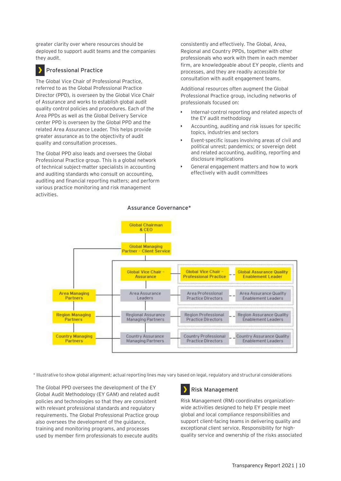greater clarity over where resources should be deployed to support audit teams and the companies they audit.

#### **Professional Practice**

The Global Vice Chair of Professional Practice, referred to as the Global Professional Practice Director (PPD), is overseen by the Global Vice Chair of Assurance and works to establish global audit quality control policies and procedures. Each of the Area PPDs as well as the Global Delivery Service center PPD is overseen by the Global PPD and the related Area Assurance Leader. This helps provide greater assurance as to the objectivity of audit quality and consultation processes.

The Global PPD also leads and oversees the Global Professional Practice group. This is a global network of technical subject-matter specialists in accounting and auditing standards who consult on accounting, auditing and financial reporting matters; and perform various practice monitoring and risk management activities.

consistently and effectively. The Global, Area, Regional and Country PPDs, together with other professionals who work with them in each member firm, are knowledgeable about EY people, clients and processes, and they are readily accessible for consultation with audit engagement teams.

Additional resources often augment the Global Professional Practice group, including networks of professionals focused on:

- Internal-control reporting and related aspects of the EY audit methodology
- Accounting, auditing and risk issues for specific topics, industries and sectors
- Event-specific issues involving areas of civil and political unrest; pandemics; or sovereign debt and related accounting, auditing, reporting and disclosure implications
- General engagement matters and how to work effectively with audit committees



**Assurance Governance\***

\* Illustrative to show global alignment; actual reporting lines may vary based on legal, regulatory and structural considerations

The Global PPD oversees the development of the EY Global Audit Methodology (EY GAM) and related audit policies and technologies so that they are consistent with relevant professional standards and regulatory requirements. The Global Professional Practice group also oversees the development of the guidance, training and monitoring programs, and processes used by member firm professionals to execute audits

### **Risk Management**

Risk Management (RM) coordinates organizationwide activities designed to help EY people meet global and local compliance responsibilities and support client-facing teams in delivering quality and exceptional client service. Responsibility for highquality service and ownership of the risks associated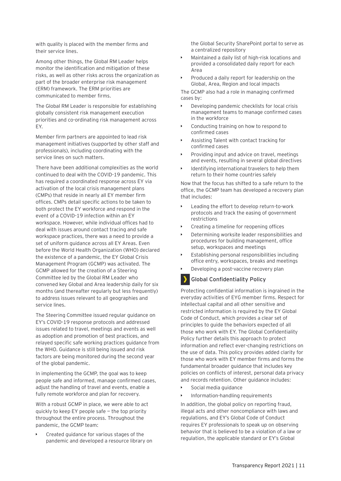with quality is placed with the member firms and their service lines.

Among other things, the Global RM Leader helps monitor the identification and mitigation of these risks, as well as other risks across the organization as part of the broader enterprise risk management (ERM) framework. The ERM priorities are communicated to member firms.

The Global RM Leader is responsible for establishing globally consistent risk management execution priorities and co-ordinating risk management across EY.

Member firm partners are appointed to lead risk management initiatives (supported by other staff and professionals), including coordinating with the service lines on such matters.

There have been additional complexities as the world continued to deal with the COVID-19 pandemic. This has required a coordinated response across EY via activation of the local crisis management plans (CMPs) that reside in nearly all EY member firm offices. CMPs detail specific actions to be taken to both protect the EY workforce and respond in the event of a COVID-19 infection within an EY workspace. However, while individual offices had to deal with issues around contact tracing and safe workspace practices, there was a need to provide a set of uniform guidance across all EY Areas. Even before the World Health Organization (WHO) declared the existence of a pandemic, the EY Global Crisis Management Program (GCMP) was activated. The GCMP allowed for the creation of a Steering Committee led by the Global RM Leader who convened key Global and Area leadership daily for six months (and thereafter regularly but less frequently) to address issues relevant to all geographies and service lines.

The Steering Committee issued regular guidance on EY's COVID-19 response protocols and addressed issues related to travel, meetings and events as well as adoption and promotion of best practices, and relayed specific safe working practices guidance from the WHO. Guidance is still being issued and risk factors are being monitored during the second year of the global pandemic.

In implementing the GCMP, the goal was to keep people safe and informed, manage confirmed cases, adjust the handling of travel and events, enable a fully remote workforce and plan for recovery.

With a robust GCMP in place, we were able to act quickly to keep EY people safe — the top priority throughout the entire process. Throughout the pandemic, the GCMP team:

• Created guidance for various stages of the pandemic and developed a resource library on the Global Security SharePoint portal to serve as a centralized repository

- Maintained a daily list of high-risk locations and provided a consolidated daily report for each Area
- Produced a daily report for leadership on the Global, Area, Region and local impacts

The GCMP also had a role in managing confirmed cases by:

- Developing pandemic checklists for local crisis management teams to manage confirmed cases in the workforce
- Conducting training on how to respond to confirmed cases
- Assisting Talent with contact tracking for confirmed cases
- Providing input and advice on travel, meetings and events, resulting in several global directives
- Identifying international travelers to help them return to their home countries safely

Now that the focus has shifted to a safe return to the office, the GCMP team has developed a recovery plan that includes:

- Leading the effort to develop return-to-work protocols and track the easing of government restrictions
- Creating a timeline for reopening offices
- Determining worksite leader responsibilities and procedures for building management, office setup, workspaces and meetings
- Establishing personal responsibilities including office entry, workspaces, breaks and meetings
- Developing a post-vaccine recovery plan

#### **Global Confidentiality Policy**

Protecting confidential information is ingrained in the everyday activities of EYG member firms. Respect for intellectual capital and all other sensitive and restricted information is required by the EY Global Code of Conduct, which provides a clear set of principles to guide the behaviors expected of all those who work with EY. The Global Confidentiality Policy further details this approach to protect information and reflect ever-changing restrictions on the use of data. This policy provides added clarity for those who work with EY member firms and forms the fundamental broader guidance that includes key policies on conflicts of interest, personal data privacy and records retention. Other guidance includes:

- Social media guidance
- Information-handling requirements

In addition, the global policy on reporting fraud, illegal acts and other noncompliance with laws and regulations, and EY's Global Code of Conduct requires EY professionals to speak up on observing behavior that is believed to be a violation of a law or regulation, the applicable standard or EY's Global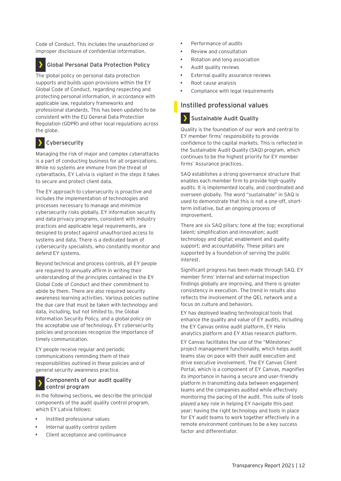Code of Conduct. This includes the unauthorized or improper disclosure of confidential information.

#### **Global Personal Data Protection Policy**

The global policy on personal data protection supports and builds upon provisions within the EY Global Code of Conduct, regarding respecting and protecting personal information, in accordance with applicable law, regulatory frameworks and professional standards. This has been updated to be consistent with the EU General Data Protection Regulation (GDPR) and other local regulations across the globe.

#### **Cybersecurity**

Managing the risk of major and complex cyberattacks is a part of conducting business for all organizations. While no systems are immune from the threat of cyberattacks, EY Latvia is vigilant in the steps it takes to secure and protect client data.

The EY approach to cybersecurity is proactive and includes the implementation of technologies and processes necessary to manage and minimize cybersecurity risks globally. EY information security and data privacy programs, consistent with industry practices and applicable legal requirements, are designed to protect against unauthorized access to systems and data. There is a dedicated team of cybersecurity specialists, who constantly monitor and defend EY systems.

Beyond technical and process controls, all EY people are required to annually affirm in writing their understanding of the principles contained in the EY Global Code of Conduct and their commitment to abide by them. There are also required security awareness learning activities. Various policies outline the due care that must be taken with technology and data, including, but not limited to, the Global Information Security Policy, and a global policy on the acceptable use of technology. EY cybersecurity policies and processes recognize the importance of timely communication.

EY people receive regular and periodic communications reminding them of their responsibilities outlined in these policies and of general security awareness practice.

#### **Components of our audit quality control program**

In the following sections, we describe the principal components of the audit quality control program, which EY Latvia follows:

- Instilled professional values
- Internal quality control system
- Client acceptance and continuance
- Performance of audits
- Review and consultation
- Rotation and long association
- Audit quality reviews
- External quality assurance reviews
- Root cause analysis
- Compliance with legal requirements

#### <span id="page-11-0"></span>**Instilled professional values**

#### **Sustainable Audit Quality**

Quality is the foundation of our work and central to EY member firms' responsibility to provide confidence to the capital markets. This is reflected in the Sustainable Audit Quality (SAQ) program, which continues to be the highest priority for EY member firms' Assurance practices.

SAQ establishes a strong governance structure that enables each member firm to provide high-quality audits. It is implemented locally, and coordinated and overseen globally. The word "sustainable" in SAQ is used to demonstrate that this is not a one-off, shortterm initiative, but an ongoing process of improvement.

There are six SAQ pillars: tone at the top; exceptional talent; simplification and innovation; audit technology and digital; enablement and quality support; and accountability. These pillars are supported by a foundation of serving the public interest.

Significant progress has been made through SAQ. EY member firms' internal and external inspection findings globally are improving, and there is greater consistency in execution. The trend in results also reflects the involvement of the QEL network and a focus on culture and behaviors.

EY has deployed leading technological tools that enhance the quality and value of EY audits, including the EY Canvas online audit platform, EY Helix analytics platform and EY Atlas research platform.

EY Canvas facilitates the use of the "Milestones" project management functionality, which helps audit teams stay on pace with their audit execution and drive executive involvement. The EY Canvas Client Portal, which is a component of EY Canvas, magnifies its importance in having a secure and user-friendly platform in transmitting data between engagement teams and the companies audited while effectively monitoring the pacing of the audit. This suite of tools played a key role in helping EY navigate this past year: having the right technology and tools in place for EY audit teams to work together effectively in a remote environment continues to be a key success factor and differentiator.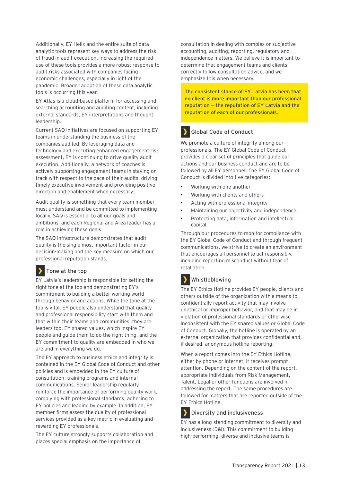Additionally, EY Helix and the entire suite of data analytic tools represent key ways to address the risk of fraud in audit execution. Increasing the required use of these tools provides a more robust response to audit risks associated with companies facing economic challenges, especially in light of the pandemic. Broader adoption of these data analytic tools is occurring this year.

EY Atlas is a cloud-based platform for accessing and searching accounting and auditing content, including external standards, EY interpretations and thought leadership.

Current SAQ initiatives are focused on supporting EY teams in understanding the business of the companies audited. By leveraging data and technology and executing enhanced engagement risk assessment, EY is continuing to drive quality audit execution. Additionally, a network of coaches is actively supporting engagement teams in staying on track with respect to the pace of their audits, driving timely executive involvement and providing positive direction and enablement when necessary.

Audit quality is something that every team member must understand and be committed to implementing locally. SAQ is essential to all our goals and ambitions, and each Regional and Area leader has a role in achieving these goals.

The SAQ infrastructure demonstrates that audit quality is the single most important factor in our decision-making and the key measure on which our professional reputation stands.

#### **Tone at the top**

EY Latvia's leadership is responsible for setting the right tone at the top and demonstrating EY's commitment to building a better working world through behavior and actions. While the tone at the top is vital, EY people also understand that quality and professional responsibility start with them and that within their teams and communities, they are leaders too. EY shared values, which inspire EY people and guide them to do the right thing, and the EY commitment to quality are embedded in who we are and in everything we do.

The EY approach to business ethics and integrity is contained in the EY Global Code of Conduct and other policies and is embedded in the EY culture of consultation, training programs and internal communications. Senior leadership regularly reinforce the importance of performing quality work, complying with professional standards, adhering to EY policies and leading by example. In addition, EY member firms assess the quality of professional services provided as a key metric in evaluating and rewarding EY professionals.

The EY culture strongly supports collaboration and places special emphasis on the importance of

consultation in dealing with complex or subjective accounting, auditing, reporting, regulatory and independence matters. We believe it is important to determine that engagement teams and clients correctly follow consultation advice, and we emphasize this when necessary.

**The consistent stance of EY Latvia has been that no client is more important than our professional reputation — the reputation of EY Latvia and the reputation of each of our professionals.**

### **Global Code of Conduct**

We promote a culture of integrity among our professionals. The EY Global Code of Conduct provides a clear set of principles that guide our actions and our business conduct and are to be followed by all EY personnel. The EY Global Code of Conduct is divided into five categories:

- Working with one another
- Working with clients and others
- Acting with professional integrity
- Maintaining our objectivity and independence
- Protecting data, information and intellectual capital

Through our procedures to monitor compliance with the EY Global Code of Conduct and through frequent communications, we strive to create an environment that encourages all personnel to act responsibly, including reporting misconduct without fear of retaliation.

#### **Whistleblowing** ,

The EY Ethics Hotline provides EY people, clients and others outside of the organization with a means to confidentially report activity that may involve unethical or improper behavior, and that may be in violation of professional standards or otherwise inconsistent with the EY shared values or Global Code of Conduct. Globally, the hotline is operated by an external organization that provides confidential and, if desired, anonymous hotline reporting.

When a report comes into the EY Ethics Hotline, either by phone or internet, it receives prompt attention. Depending on the content of the report, appropriate individuals from Risk Management, Talent, Legal or other functions are involved in addressing the report. The same procedures are followed for matters that are reported outside of the EY Ethics Hotline.

#### **Diversity and inclusiveness**

EY has a long-standing commitment to diversity and inclusiveness (D&I). This commitment to building high-performing, diverse and inclusive teams is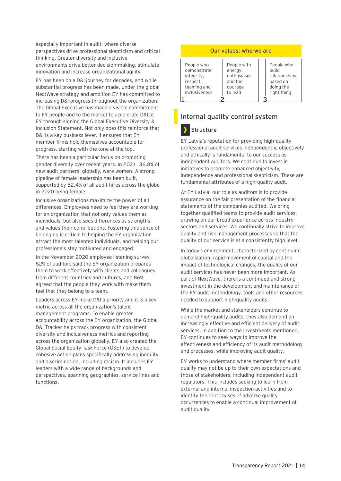especially important in audit, where diverse perspectives drive professional skepticism and critical thinking. Greater diversity and inclusive environments drive better decision-making, stimulate innovation and increase organizational agility.

EY has been on a D&I journey for decades, and while substantial progress has been made, under the global NextWave strategy and ambition EY has committed to increasing D&I progress throughout the organization. The Global Executive has made a visible commitment to EY people and to the market to accelerate D&I at EY through signing the Global Executive Diversity & Inclusion Statement. Not only does this reinforce that D&I is a key business lever, it ensures that EY member firms hold themselves accountable for progress, starting with the tone at the top.

There has been a particular focus on promoting gender diversity over recent years. In 2021, 36.8% of new audit partners, globally, were women. A strong pipeline of female leadership has been built, supported by 52.4% of all audit hires across the globe in 2020 being female.

Inclusive organizations maximize the power of all differences. Employees need to feel they are working for an organization that not only values them as individuals, but also sees differences as strengths and values their contributions. Fostering this sense of belonging is critical to helping the EY organization attract the most talented individuals, and helping our professionals stay motivated and engaged.

In the November 2020 employee listening survey, 82% of auditors said the EY organization prepares them to work effectively with clients and colleagues from different countries and cultures, and 86% agreed that the people they work with make them feel that they belong to a team.

Leaders across EY make D&I a priority and it is a key metric across all the organization's talent management programs. To enable greater accountability across the EY organization, the Global D&I Tracker helps track progress with consistent diversity and inclusiveness metrics and reporting across the organization globally. EY also created the Global Social Equity Task Force (GSET) to develop cohesive action plans specifically addressing inequity and discrimination, including racism. It includes EY leaders with a wide range of backgrounds and perspectives, spanning geographies, service lines and functions.

#### **Our values: who we are**

| People who<br>demonstrate<br>integrity,<br>respect,<br>teaming and<br>inclusiveness | People with<br>energy,<br>enthusiasm<br>and the<br>courage<br>to lead | People who<br>build<br>relationships<br>based on<br>doing the<br>right thing |
|-------------------------------------------------------------------------------------|-----------------------------------------------------------------------|------------------------------------------------------------------------------|
|                                                                                     |                                                                       |                                                                              |

#### <span id="page-13-0"></span>**Internal quality control system**



EY Latvia's reputation for providing high-quality professional audit services independently, objectively and ethically is fundamental to our success as independent auditors. We continue to invest in initiatives to promote enhanced objectivity, independence and professional skepticism. These are fundamental attributes of a high-quality audit.

At EY Latvia, our role as auditors is to provide assurance on the fair presentation of the financial statements of the companies audited. We bring together qualified teams to provide audit services, drawing on our broad experience across industry sectors and services. We continually strive to improve quality and risk management processes so that the quality of our service is at a consistently high level.

In today's environment, characterized by continuing globalization, rapid movement of capital and the impact of technological changes, the quality of our audit services has never been more important. As part of NextWave, there is a continued and strong investment in the development and maintenance of the EY audit methodology, tools and other resources needed to support high-quality audits.

While the market and stakeholders continue to demand high-quality audits, they also demand an increasingly effective and efficient delivery of audit services. In addition to the investments mentioned, EY continues to seek ways to improve the effectiveness and efficiency of its audit methodology and processes, while improving audit quality.

EY works to understand where member firms' audit quality may not be up to their own expectations and those of stakeholders, including independent audit regulators. This includes seeking to learn from external and internal inspection activities and to identify the root causes of adverse quality occurrences to enable a continual improvement of audit quality.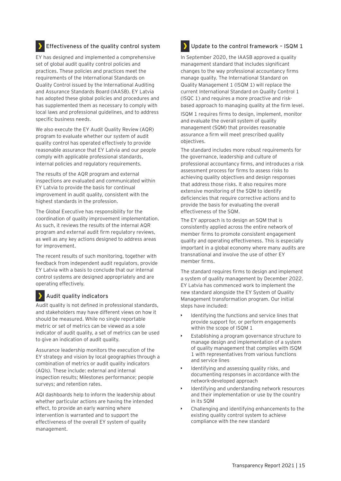#### **Effectiveness of the quality control system**

EY has designed and implemented a comprehensive set of global audit quality control policies and practices. These policies and practices meet the requirements of the International Standards on Quality Control issued by the International Auditing and Assurance Standards Board (IAASB). EY Latvia has adopted these global policies and procedures and has supplemented them as necessary to comply with local laws and professional guidelines, and to address specific business needs.

We also execute the EY Audit Quality Review (AQR) program to evaluate whether our system of audit quality control has operated effectively to provide reasonable assurance that EY Latvia and our people comply with applicable professional standards, internal policies and regulatory requirements.

The results of the AQR program and external inspections are evaluated and communicated within EY Latvia to provide the basis for continual improvement in audit quality, consistent with the highest standards in the profession.

The Global Executive has responsibility for the coordination of quality improvement implementation. As such, it reviews the results of the internal AQR program and external audit firm regulatory reviews, as well as any key actions designed to address areas for improvement.

The recent results of such monitoring, together with feedback from independent audit regulators, provide EY Latvia with a basis to conclude that our internal control systems are designed appropriately and are operating effectively.

#### **Audit quality indicators**

Audit quality is not defined in professional standards, and stakeholders may have different views on how it should be measured. While no single reportable metric or set of metrics can be viewed as a sole indicator of audit quality, a set of metrics can be used to give an indication of audit quality.

Assurance leadership monitors the execution of the EY strategy and vision by local geographies through a combination of metrics or audit quality indicators (AQIs). These include: external and internal inspection results; Milestones performance; people surveys; and retention rates.

AQI dashboards help to inform the leadership about whether particular actions are having the intended effect, to provide an early warning where intervention is warranted and to support the effectiveness of the overall EY system of quality management.

#### **Update to the control framework – ISQM 1**

In September 2020, the IAASB approved a quality management standard that includes significant changes to the way professional accountancy firms manage quality. The International Standard on Quality Management 1 (ISQM 1) will replace the current International Standard on Quality Control 1 (ISQC 1) and requires a more proactive and riskbased approach to managing quality at the firm level.

ISQM 1 requires firms to design, implement, monitor and evaluate the overall system of quality management (SQM) that provides reasonable assurance a firm will meet prescribed quality objectives.

The standard includes more robust requirements for the governance, leadership and culture of professional accountancy firms, and introduces a risk assessment process for firms to assess risks to achieving quality objectives and design responses that address those risks. It also requires more extensive monitoring of the SQM to identify deficiencies that require corrective actions and to provide the basis for evaluating the overall effectiveness of the SQM.

The EY approach is to design an SQM that is consistently applied across the entire network of member firms to promote consistent engagement quality and operating effectiveness. This is especially important in a global economy where many audits are transnational and involve the use of other EY member firms.

The standard requires firms to design and implement a system of quality management by December 2022. EY Latvia has commenced work to implement the new standard alongside the EY System of Quality Management transformation program. Our initial steps have included:

- Identifying the functions and service lines that provide support for, or perform engagements within the scope of ISQM 1
- Establishing a program governance structure to manage design and implementation of a system of quality management that complies with ISQM 1 with representatives from various functions and service lines
- Identifying and assessing quality risks, and documenting responses in accordance with the network-developed approach
- Identifying and understanding network resources and their implementation or use by the country in its SQM
- Challenging and identifying enhancements to the existing quality control system to achieve compliance with the new standard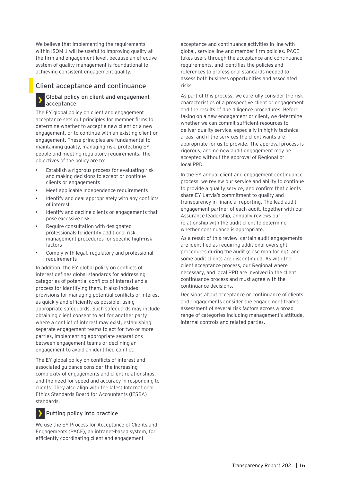We believe that implementing the requirements within ISQM 1 will be useful to improving quality at the firm and engagement level, because an effective system of quality management is foundational to achieving consistent engagement quality.

#### <span id="page-15-0"></span>**Client acceptance and continuance**

#### **Global policy on client and engagement acceptance**

The EY global policy on client and engagement acceptance sets out principles for member firms to determine whether to accept a new client or a new engagement, or to continue with an existing client or engagement. These principles are fundamental to maintaining quality, managing risk, protecting EY people and meeting regulatory requirements. The objectives of the policy are to:

- Establish a rigorous process for evaluating risk and making decisions to accept or continue clients or engagements
- Meet applicable independence requirements
- Identify and deal appropriately with any conflicts of interest
- Identify and decline clients or engagements that pose excessive risk
- Require consultation with designated professionals to identify additional risk management procedures for specific high-risk factors
- Comply with legal, regulatory and professional requirements

In addition, the EY global policy on conflicts of interest defines global standards for addressing categories of potential conflicts of interest and a process for identifying them. It also includes provisions for managing potential conflicts of interest as quickly and efficiently as possible, using appropriate safeguards. Such safeguards may include obtaining client consent to act for another party where a conflict of interest may exist, establishing separate engagement teams to act for two or more parties, implementing appropriate separations between engagement teams or declining an engagement to avoid an identified conflict.

The EY global policy on conflicts of interest and associated guidance consider the increasing complexity of engagements and client relationships, and the need for speed and accuracy in responding to clients. They also align with the latest International Ethics Standards Board for Accountants (IESBA) standards.

#### **Putting policy into practice**

We use the EY Process for Acceptance of Clients and Engagements (PACE), an intranet-based system, for efficiently coordinating client and engagement

acceptance and continuance activities in line with global, service line and member firm policies. PACE takes users through the acceptance and continuance requirements, and identifies the policies and references to professional standards needed to assess both business opportunities and associated risks.

As part of this process, we carefully consider the risk characteristics of a prospective client or engagement and the results of due diligence procedures. Before taking on a new engagement or client, we determine whether we can commit sufficient resources to deliver quality service, especially in highly technical areas, and if the services the client wants are appropriate for us to provide. The approval process is rigorous, and no new audit engagement may be accepted without the approval of Regional or local PPD.

In the EY annual client and engagement continuance process, we review our service and ability to continue to provide a quality service, and confirm that clients share EY Latvia's commitment to quality and transparency in financial reporting. The lead audit engagement partner of each audit, together with our Assurance leadership, annually reviews our relationship with the audit client to determine whether continuance is appropriate.

As a result of this review, certain audit engagements are identified as requiring additional oversight procedures during the audit (close monitoring), and some audit clients are discontinued. As with the client acceptance process, our Regional where necessary, and local PPD are involved in the client continuance process and must agree with the continuance decisions.

Decisions about acceptance or continuance of clients and engagements consider the engagement team's assessment of several risk factors across a broad range of categories including management's attitude, internal controls and related parties.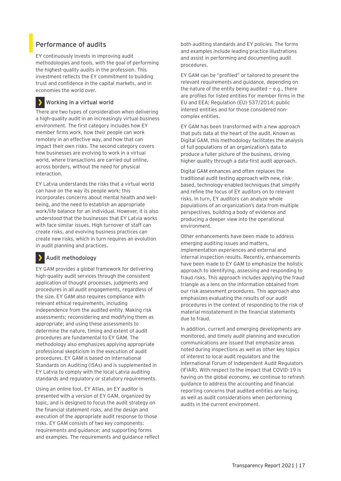### <span id="page-16-0"></span>**Performance of audits**

EY continuously invests in improving audit methodologies and tools, with the goal of performing the highest-quality audits in the profession. This investment reflects the EY commitment to building trust and confidence in the capital markets, and in economies the world over.

#### **Working in a virtual world**

There are two types of consideration when delivering a high-quality audit in an increasingly virtual business environment. The first category includes how EY member firms work, how their people can work remotely in an effective way, and how that can impact their own risks. The second category covers how businesses are evolving to work in a virtual world, where transactions are carried out online, across borders, without the need for physical interaction.

EY Latvia understands the risks that a virtual world can have on the way its people work; this incorporates concerns about mental health and wellbeing, and the need to establish an appropriate work/life balance for an individual. However, it is also understood that the businesses that EY Latvia works with face similar issues. High turnover of staff can create risks, and evolving business practices can create new risks, which in turn requires an evolution in audit planning and practices.

#### **Audit methodology**

EY GAM provides a global framework for delivering high-quality audit services through the consistent application of thought processes, judgments and procedures in all audit engagements, regardless of the size. EY GAM also requires compliance with relevant ethical requirements, including independence from the audited entity. Making risk assessments; reconsidering and modifying them as appropriate; and using these assessments to determine the nature, timing and extent of audit procedures are fundamental to EY GAM. The methodology also emphasizes applying appropriate professional skepticism in the execution of audit procedures. EY GAM is based on International Standards on Auditing (ISAs) and is supplemented in EY Latvia to comply with the local Latvia auditing standards and regulatory or statutory requirements.

Using an online tool, EY Atlas, an EY auditor is presented with a version of EY GAM, organized by topic, and is designed to focus the audit strategy on the financial statement risks, and the design and execution of the appropriate audit response to those risks. EY GAM consists of two key components: requirements and guidance; and supporting forms and examples. The requirements and guidance reflect both auditing standards and EY policies. The forms and examples include leading practice illustrations and assist in performing and documenting audit procedures.

EY GAM can be "profiled" or tailored to present the relevant requirements and guidance, depending on the nature of the entity being audited  $-$  e.g., there are profiles for listed entities For member firms in the EU and EEA; Regulation (EU) 537/2014: public interest entities and for those considered noncomplex entities.

EY GAM has been transformed with a new approach that puts data at the heart of the audit. Known as Digital GAM, this methodology facilitates the analysis of full populations of an organization's data to produce a fuller picture of the business, driving higher quality through a data-first audit approach.

Digital GAM enhances and often replaces the traditional audit testing approach with new, riskbased, technology-enabled techniques that simplify and refine the focus of EY auditors on to relevant risks. In turn, EY auditors can analyze whole populations of an organization's data from multiple perspectives, building a body of evidence and producing a deeper view into the operational environment.

Other enhancements have been made to address emerging auditing issues and matters, implementation experiences and external and internal inspection results. Recently, enhancements have been made to EY GAM to emphasize the holistic approach to identifying, assessing and responding to fraud risks. This approach includes applying the fraud triangle as a lens on the information obtained from our risk assessment procedures. This approach also emphasizes evaluating the results of our audit procedures in the context of responding to the risk of material misstatement in the financial statements due to fraud.

In addition, current and emerging developments are monitored, and timely audit planning and execution communications are issued that emphasize areas noted during inspections as well as other key topics of interest to local audit regulators and the International Forum of Independent Audit Regulators (IFIAR). With respect to the impact that COVID-19 is having on the global economy, we continue to refresh guidance to address the accounting and financial reporting concerns that audited entities are facing, as well as audit considerations when performing audits in the current environment.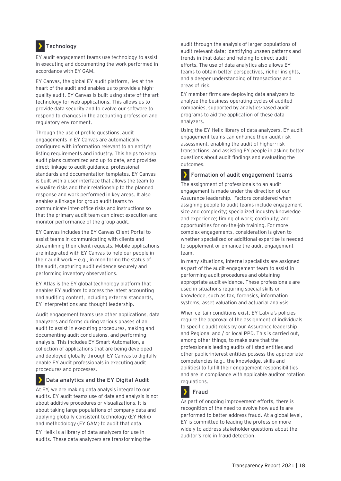### **Technology**

EY audit engagement teams use technology to assist in executing and documenting the work performed in accordance with EY GAM.

EY Canvas, the global EY audit platform, lies at the heart of the audit and enables us to provide a highquality audit. EY Canvas is built using state-of-the-art technology for web applications. This allows us to provide data security and to evolve our software to respond to changes in the accounting profession and regulatory environment.

Through the use of profile questions, audit engagements in EY Canvas are automatically configured with information relevant to an entity's listing requirements and industry. This helps to keep audit plans customized and up-to-date, and provides direct linkage to audit guidance, professional standards and documentation templates. EY Canvas is built with a user interface that allows the team to visualize risks and their relationship to the planned response and work performed in key areas. It also enables a linkage for group audit teams to communicate inter-office risks and instructions so that the primary audit team can direct execution and monitor performance of the group audit.

EY Canvas includes the EY Canvas Client Portal to assist teams in communicating with clients and streamlining their client requests. Mobile applications are integrated with EY Canvas to help our people in their audit work  $-$  e.g., in monitoring the status of the audit, capturing audit evidence securely and performing inventory observations.

EY Atlas is the EY global technology platform that enables EY auditors to access the latest accounting and auditing content, including external standards, EY interpretations and thought leadership.

Audit engagement teams use other applications, data analyzers and forms during various phases of an audit to assist in executing procedures, making and documenting audit conclusions, and performing analysis. This includes EY Smart Automation, a collection of applications that are being developed and deployed globally through EY Canvas to digitally enable EY audit professionals in executing audit procedures and processes.

#### У **Data analytics and the EY Digital Audit**

At EY, we are making data analysis integral to our audits. EY audit teams use of data and analysis is not about additive procedures or visualizations. It is about taking large populations of company data and applying globally consistent technology (EY Helix) and methodology (EY GAM) to audit that data.

EY Helix is a library of data analyzers for use in audits. These data analyzers are transforming the audit through the analysis of larger populations of audit-relevant data; identifying unseen patterns and trends in that data; and helping to direct audit efforts. The use of data analytics also allows EY teams to obtain better perspectives, richer insights, and a deeper understanding of transactions and areas of risk.

EY member firms are deploying data analyzers to analyze the business operating cycles of audited companies, supported by analytics-based audit programs to aid the application of these data analyzers.

Using the EY Helix library of data analyzers, EY audit engagement teams can enhance their audit risk assessment, enabling the audit of higher-risk transactions, and assisting EY people in asking better questions about audit findings and evaluating the outcomes.

э **Formation of audit engagement teams** The assignment of professionals to an audit engagement is made under the direction of our Assurance leadership. Factors considered when assigning people to audit teams include engagement size and complexity; specialized industry knowledge and experience; timing of work; continuity; and opportunities for on-the-job training. For more complex engagements, consideration is given to whether specialized or additional expertise is needed to supplement or enhance the audit engagement team.

In many situations, internal specialists are assigned as part of the audit engagement team to assist in performing audit procedures and obtaining appropriate audit evidence. These professionals are used in situations requiring special skills or knowledge, such as tax, forensics, information systems, asset valuation and actuarial analysis.

When certain conditions exist, EY Latvia's policies require the approval of the assignment of individuals to specific audit roles by our Assurance leadership and Regional and / or local PPD. This is carried out, among other things, to make sure that the professionals leading audits of listed entities and other public-interest entities possess the appropriate competencies (e.g., the knowledge, skills and abilities) to fulfill their engagement responsibilities and are in compliance with applicable auditor rotation regulations.

#### У **Fraud**

As part of ongoing improvement efforts, there is recognition of the need to evolve how audits are performed to better address fraud. At a global level, EY is committed to leading the profession more widely to address stakeholder questions about the auditor's role in fraud detection.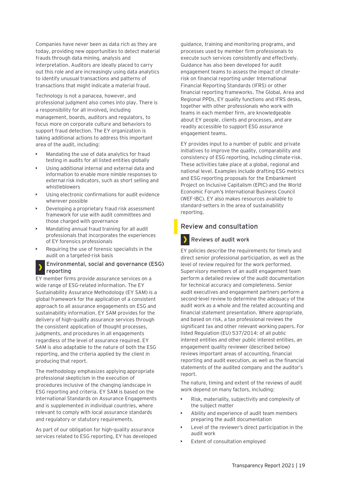Companies have never been as data rich as they are today, providing new opportunities to detect material frauds through data mining, analysis and interpretation. Auditors are ideally placed to carry out this role and are increasingly using data analytics to identify unusual transactions and patterns of transactions that might indicate a material fraud.

Technology is not a panacea, however, and professional judgment also comes into play. There is a responsibility for all involved, including management, boards, auditors and regulators, to focus more on corporate culture and behaviors to support fraud detection. The EY organization is taking additional actions to address this important area of the audit, including:

- Mandating the use of data analytics for fraud testing in audits for all listed entities globally
- Using additional internal and external data and information to enable more nimble responses to external risk indicators, such as short selling and whistleblowers
- Using electronic confirmations for audit evidence wherever possible
- Developing a proprietary fraud risk assessment framework for use with audit committees and those charged with governance
- Mandating annual fraud training for all audit professionals that incorporates the experiences of EY forensics professionals
- Requiring the use of forensic specialists in the audit on a targeted-risk basis

#### **Environmental, social and governance (ESG) reporting**

EY member firms provide assurance services on a wide range of ESG-related information. The EY Sustainability Assurance Methodology (EY SAM) is a global framework for the application of a consistent approach to all assurance engagements on ESG and sustainability information. EY SAM provides for the delivery of high-quality assurance services through the consistent application of thought processes, judgments, and procedures in all engagements regardless of the level of assurance required. EY SAM is also adaptable to the nature of both the ESG reporting, and the criteria applied by the client in producing that report.

The methodology emphasizes applying appropriate professional skepticism in the execution of procedures inclusive of the changing landscape in ESG reporting and criteria. EY SAM is based on the International Standards on Assurance Engagements and is supplemented in individual countries, where relevant to comply with local assurance standards and regulatory or statutory requirements.

As part of our obligation for high-quality assurance services related to ESG reporting, EY has developed guidance, training and monitoring programs, and processes used by member firm professionals to execute such services consistently and effectively. Guidance has also been developed for audit engagement teams to assess the impact of climaterisk on financial reporting under International Financial Reporting Standards (IFRS) or other financial reporting frameworks. The Global, Area and Regional PPDs, EY quality functions and IFRS desks, together with other professionals who work with teams in each member firm, are knowledgeable about EY people, clients and processes, and are readily accessible to support ESG assurance engagement teams.

EY provides input to a number of public and private initiatives to improve the quality, comparability and consistency of ESG reporting, including climate-risk. These activities take place at a global, regional and national level. Examples include drafting ESG metrics and ESG reporting proposals for the Embankment Project on Inclusive Capitalism (EPIC) and the World Economic Forum's International Business Council (WEF-IBC). EY also makes resources available to standard-setters in the area of sustainability reporting.

#### <span id="page-18-0"></span>**Review and consultation**



#### **Reviews of audit work**

EY policies describe the requirements for timely and direct senior professional participation, as well as the level of review required for the work performed. Supervisory members of an audit engagement team perform a detailed review of the audit documentation for technical accuracy and completeness. Senior audit executives and engagement partners perform a second-level review to determine the adequacy of the audit work as a whole and the related accounting and financial statement presentation. Where appropriate, and based on risk, a tax professional reviews the significant tax and other relevant working papers. For listed Regulation (EU) 537/2014: of all public interest entities and other public interest entities, an engagement quality reviewer (described below) reviews important areas of accounting, financial reporting and audit execution, as well as the financial statements of the audited company and the auditor's report.

The nature, timing and extent of the reviews of audit work depend on many factors, including:

- Risk, materiality, subjectivity and complexity of the subject matter
- Ability and experience of audit team members preparing the audit documentation
- Level of the reviewer's direct participation in the audit work
- Extent of consultation employed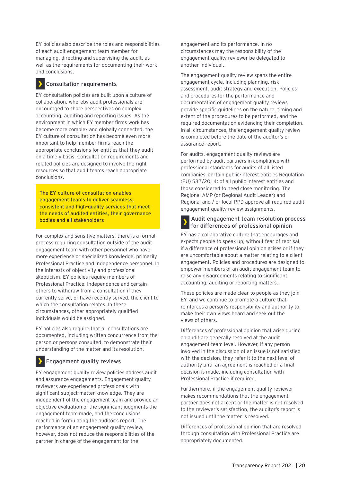EY policies also describe the roles and responsibilities of each audit engagement team member for managing, directing and supervising the audit, as well as the requirements for documenting their work and conclusions.

#### **Consultation requirements**

EY consultation policies are built upon a culture of collaboration, whereby audit professionals are encouraged to share perspectives on complex accounting, auditing and reporting issues. As the environment in which EY member firms work has become more complex and globally connected, the EY culture of consultation has become even more important to help member firms reach the appropriate conclusions for entities that they audit on a timely basis. Consultation requirements and related policies are designed to involve the right resources so that audit teams reach appropriate conclusions.

**The EY culture of consultation enables engagement teams to deliver seamless, consistent and high-quality services that meet the needs of audited entities, their governance bodies and all stakeholders**

For complex and sensitive matters, there is a formal process requiring consultation outside of the audit engagement team with other personnel who have more experience or specialized knowledge, primarily Professional Practice and Independence personnel. In the interests of objectivity and professional skepticism, EY policies require members of Professional Practice, Independence and certain others to withdraw from a consultation if they currently serve, or have recently served, the client to which the consultation relates. In these circumstances, other appropriately qualified individuals would be assigned.

EY policies also require that all consultations are documented, including written concurrence from the person or persons consulted, to demonstrate their understanding of the matter and its resolution.

#### **Engagement quality reviews**

EY engagement quality review policies address audit and assurance engagements. Engagement quality reviewers are experienced professionals with significant subject-matter knowledge. They are independent of the engagement team and provide an objective evaluation of the significant judgments the engagement team made, and the conclusions reached in formulating the auditor's report. The performance of an engagement quality review, however, does not reduce the responsibilities of the partner in charge of the engagement for the

engagement and its performance. In no circumstances may the responsibility of the engagement quality reviewer be delegated to another individual.

The engagement quality review spans the entire engagement cycle, including planning, risk assessment, audit strategy and execution. Policies and procedures for the performance and documentation of engagement quality reviews provide specific guidelines on the nature, timing and extent of the procedures to be performed, and the required documentation evidencing their completion. In all circumstances, the engagement quality review is completed before the date of the auditor's or assurance report.

For audits, engagement quality reviews are performed by audit partners in compliance with professional standards for audits of all listed companies, certain public-interest entities Regulation (EU) 537/2014: of all public interest entities and those considered to need close monitoring. The Regional AMP (or Regional Audit Leader) and Regional and / or local PPD approve all required audit engagement quality review assignments.

#### **Audit engagement team resolution process for differences of professional opinion**

EY has a collaborative culture that encourages and expects people to speak up, without fear of reprisal, if a difference of professional opinion arises or if they are uncomfortable about a matter relating to a client engagement. Policies and procedures are designed to empower members of an audit engagement team to raise any disagreements relating to significant accounting, auditing or reporting matters.

These policies are made clear to people as they join EY, and we continue to promote a culture that reinforces a person's responsibility and authority to make their own views heard and seek out the views of others.

Differences of professional opinion that arise during an audit are generally resolved at the audit engagement team level. However, if any person involved in the discussion of an issue is not satisfied with the decision, they refer it to the next level of authority until an agreement is reached or a final decision is made, including consultation with Professional Practice if required.

Furthermore, if the engagement quality reviewer makes recommendations that the engagement partner does not accept or the matter is not resolved to the reviewer's satisfaction, the auditor's report is not issued until the matter is resolved.

Differences of professional opinion that are resolved through consultation with Professional Practice are appropriately documented.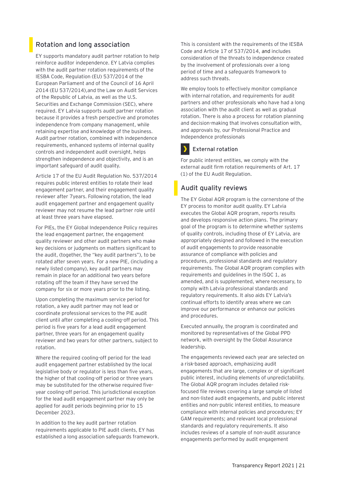### <span id="page-20-0"></span>**Rotation and long association**

EY supports mandatory audit partner rotation to help reinforce auditor independence. EY Latvia complies with the audit partner rotation requirements of the IESBA Code, Regulation (EU) 537/2014 of the European Parliament and of the Council of 16 April 2014 (EU 537/2014),and the Law on Audit Services of the Republic of Latvia, as well as the U.S. Securities and Exchange Commission (SEC), where required. EY Latvia supports audit partner rotation because it provides a fresh perspective and promotes independence from company management, while retaining expertise and knowledge of the business. Audit partner rotation, combined with independence requirements, enhanced systems of internal quality controls and independent audit oversight, helps strengthen independence and objectivity, and is an important safeguard of audit quality.

Article 17 of the EU Audit Regulation No. 537/2014 requires public interest entities to rotate their lead engagement partner, and their engagement quality reviewer after 7years. Following rotation, the lead audit engagement partner and engagement quality reviewer may not resume the lead partner role until at least three years have elapsed.

For PIEs, the EY Global Independence Policy requires the lead engagement partner, the engagement quality reviewer and other audit partners who make key decisions or judgments on matters significant to the audit, (together, the "key audit partners"), to be rotated after seven years. For a new PIE, (including a newly listed company), key audit partners may remain in place for an additional two years before rotating off the team if they have served the company for six or more years prior to the listing.

Upon completing the maximum service period for rotation, a key audit partner may not lead or coordinate professional services to the PIE audit client until after completing a cooling-off period. This period is five years for a lead audit engagement partner, three years for an engagement quality reviewer and two years for other partners, subject to rotation.

Where the required cooling-off period for the lead audit engagement partner established by the local legislative body or regulator is less than five years, the higher of that cooling-off period or three years may be substituted for the otherwise required fiveyear cooling-off period. This jurisdictional exception for the lead audit engagement partner may only be applied for audit periods beginning prior to 15 December 2023.

In addition to the key audit partner rotation requirements applicable to PIE audit clients, EY has established a long association safeguards framework. This is consistent with the requirements of the IESBA Code and Article 17 of 537/2014, and includes consideration of the threats to independence created by the involvement of professionals over a long period of time and a safeguards framework to address such threats.

We employ tools to effectively monitor compliance with internal rotation, and requirements for audit partners and other professionals who have had a long association with the audit client as well as gradual rotation. There is also a process for rotation planning and decision-making that involves consultation with, and approvals by, our Professional Practice and Independence professionals



#### **External rotation**

For public interest entities, we comply with the external audit firm rotation requirements of Art. 17 (1) of the EU Audit Regulation.

#### <span id="page-20-1"></span>**Audit quality reviews**

The EY Global AQR program is the cornerstone of the EY process to monitor audit quality. EY Latvia executes the Global AQR program, reports results and develops responsive action plans. The primary goal of the program is to determine whether systems of quality controls, including those of EY Latvia, are appropriately designed and followed in the execution of audit engagements to provide reasonable assurance of compliance with policies and procedures, professional standards and regulatory requirements. The Global AQR program complies with requirements and guidelines in the ISQC 1, as amended, and is supplemented, where necessary, to comply with Latvia professional standards and regulatory requirements. It also aids EY Latvia's continual efforts to identify areas where we can improve our performance or enhance our policies and procedures.

Executed annually, the program is coordinated and monitored by representatives of the Global PPD network, with oversight by the Global Assurance leadership.

The engagements reviewed each year are selected on a risk-based approach, emphasizing audit engagements that are large, complex or of significant public interest, including elements of unpredictability. The Global AQR program includes detailed riskfocused file reviews covering a large sample of listed and non-listed audit engagements, and public interest entities and non-public interest entities, to measure compliance with internal policies and procedures; EY GAM requirements; and relevant local professional standards and regulatory requirements. It also includes reviews of a sample of non-audit assurance engagements performed by audit engagement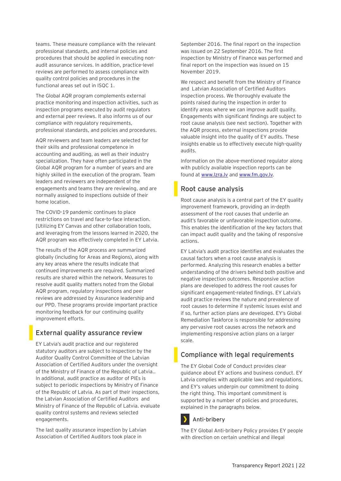teams. These measure compliance with the relevant professional standards, and internal policies and procedures that should be applied in executing nonaudit assurance services. In addition, practice-level reviews are performed to assess compliance with quality control policies and procedures in the functional areas set out in ISQC 1.

The Global AQR program complements external practice monitoring and inspection activities, such as inspection programs executed by audit regulators and external peer reviews. It also informs us of our compliance with regulatory requirements, professional standards, and policies and procedures.

AQR reviewers and team leaders are selected for their skills and professional competence in accounting and auditing, as well as their industry specialization. They have often participated in the Global AQR program for a number of years and are highly skilled in the execution of the program. Team leaders and reviewers are independent of the engagements and teams they are reviewing, and are normally assigned to inspections outside of their home location.

The COVID-19 pandemic continues to place restrictions on travel and face-to-face interaction. [Utilizing EY Canvas and other collaboration tools, and leveraging from the lessons learned in 2020, the AQR program was effectively completed in EY Latvia.

The results of the AQR process are summarized globally (including for Areas and Regions), along with any key areas where the results indicate that continued improvements are required. Summarized results are shared within the network. Measures to resolve audit quality matters noted from the Global AQR program, regulatory inspections and peer reviews are addressed by Assurance leadership and our PPD. These programs provide important practice monitoring feedback for our continuing quality improvement efforts.

#### <span id="page-21-0"></span>**External quality assurance review**

EY Latvia's audit practice and our registered statutory auditors are subject to inspection by the Auditor Quality Control Committee of the Latvian Association of Certified Auditors under the oversight of the Ministry of Finance of the Republic of Latvia.. In additional, audit practice as auditor of PIEs is subject to periodic inspections by Ministry of Finance of the Republic of Latvia. As part of their inspections, the Latvian Association of Certified Auditors and Ministry of Finance of the Republic of Latvia. evaluate quality control systems and reviews selected engagements.

The last quality assurance inspection by Latvian Association of Certified Auditors took place in

September 2016. The final report on the inspection was issued on 22 September 2016. The first inspection by Ministry of Finance was performed and final report on the inspection was issued on 15 November 2019.

We respect and benefit from the Ministry of Finance and Latvian Association of Certified Auditors inspection process. We thoroughly evaluate the points raised during the inspection in order to identify areas where we can improve audit quality. Engagements with significant findings are subject to root cause analysis (see next section). Together with the AQR process, external inspections provide valuable insight into the quality of EY audits. These insights enable us to effectively execute high-quality audits.

Information on the above-mentioned regulator along with publicly available inspection reports can be found at [www.lzra.lv](http://www.lzra.lv/) and [www.fm.gov.lv.](http://www.fm.gov.lv/)

#### <span id="page-21-1"></span>**Root cause analysis**

Root cause analysis is a central part of the EY quality improvement framework, providing an in-depth assessment of the root causes that underlie an audit's favorable or unfavorable inspection outcome. This enables the identification of the key factors that can impact audit quality and the taking of responsive actions.

EY Latvia's audit practice identifies and evaluates the causal factors when a root cause analysis is performed. Analyzing this research enables a better understanding of the drivers behind both positive and negative inspection outcomes. Responsive action plans are developed to address the root causes for significant engagement-related findings. EY Latvia's audit practice reviews the nature and prevalence of root causes to determine if systemic issues exist and if so, further action plans are developed. EY's Global Remediation Taskforce is responsible for addressing any pervasive root causes across the network and implementing responsive action plans on a larger scale.

#### <span id="page-21-2"></span>**Compliance with legal requirements**

The EY Global Code of Conduct provides clear guidance about EY actions and business conduct. EY Latvia complies with applicable laws and regulations, and EY's values underpin our commitment to doing the right thing. This important commitment is supported by a number of policies and procedures, explained in the paragraphs below.

#### **Anti-bribery**

The EY Global Anti-bribery Policy provides EY people with direction on certain unethical and illegal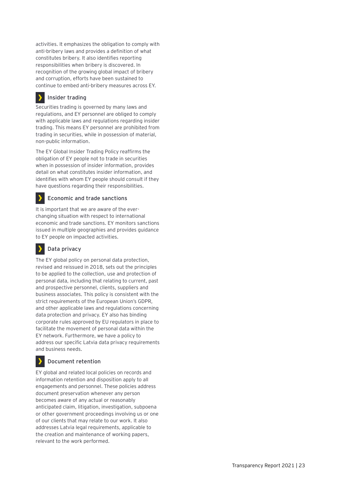activities. It emphasizes the obligation to comply with anti-bribery laws and provides a definition of what constitutes bribery. It also identifies reporting responsibilities when bribery is discovered. In recognition of the growing global impact of bribery and corruption, efforts have been sustained to continue to embed anti-bribery measures across EY.

#### У **Insider trading**

Securities trading is governed by many laws and regulations, and EY personnel are obliged to comply with applicable laws and regulations regarding insider trading. This means EY personnel are prohibited from trading in securities, while in possession of material, non-public information.

The EY Global Insider Trading Policy reaffirms the obligation of EY people not to trade in securities when in possession of insider information, provides detail on what constitutes insider information, and identifies with whom EY people should consult if they have questions regarding their responsibilities.

#### **Economic and trade sanctions**

It is important that we are aware of the everchanging situation with respect to international economic and trade sanctions. EY monitors sanctions issued in multiple geographies and provides guidance to EY people on impacted activities.

#### **Data privacy**

The EY global policy on personal data protection, revised and reissued in 2018, sets out the principles to be applied to the collection, use and protection of personal data, including that relating to current, past and prospective personnel, clients, suppliers and business associates. This policy is consistent with the strict requirements of the European Union's GDPR, and other applicable laws and regulations concerning data protection and privacy. EY also has binding corporate rules approved by EU regulators in place to facilitate the movement of personal data within the EY network. Furthermore, we have a policy to address our specific Latvia data privacy requirements and business needs.

#### **Document retention**

EY global and related local policies on records and information retention and disposition apply to all engagements and personnel. These policies address document preservation whenever any person becomes aware of any actual or reasonably anticipated claim, litigation, investigation, subpoena or other government proceedings involving us or one of our clients that may relate to our work. It also addresses Latvia legal requirements, applicable to the creation and maintenance of working papers, relevant to the work performed.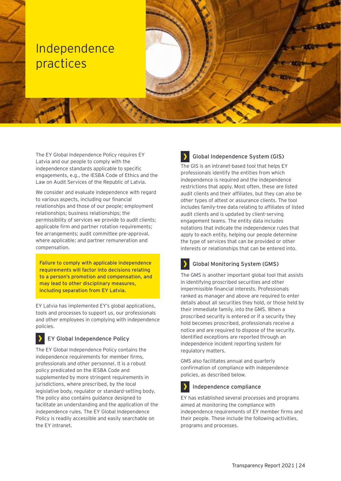## <span id="page-23-0"></span>Independence practices

The EY Global Independence Policy requires EY Latvia and our people to comply with the independence standards applicable to specific engagements, e.g., the IESBA Code of Ethics and the Law on Audit Services of the Republic of Latvia.

We consider and evaluate independence with regard to various aspects, including our financial relationships and those of our people; employment relationships; business relationships; the permissibility of services we provide to audit clients; applicable firm and partner rotation requirements; fee arrangements; audit committee pre-approval, where applicable; and partner remuneration and compensation.

**Failure to comply with applicable independence requirements will factor into decisions relating to a person's promotion and compensation, and may lead to other disciplinary measures, including separation from EY Latvia.**

EY Latvia has implemented EY's global applications, tools and processes to support us, our professionals and other employees in complying with independence policies.

#### **EY Global Independence Policy**

The EY Global Independence Policy contains the independence requirements for member firms, professionals and other personnel. It is a robust policy predicated on the IESBA Code and supplemented by more stringent requirements in jurisdictions, where prescribed, by the local legislative body, regulator or standard-setting body. The policy also contains guidance designed to facilitate an understanding and the application of the independence rules. The EY Global Independence Policy is readily accessible and easily searchable on the EY intranet.

### **Global Independence System (GIS)**

The GIS is an intranet-based tool that helps EY professionals identify the entities from which independence is required and the independence restrictions that apply. Most often, these are listed audit clients and their affiliates, but they can also be other types of attest or assurance clients. The tool includes family-tree data relating to affiliates of listed audit clients and is updated by client-serving engagement teams. The entity data includes notations that indicate the independence rules that apply to each entity, helping our people determine the type of services that can be provided or other interests or relationships that can be entered into.

### **Global Monitoring System (GMS)**

The GMS is another important global tool that assists in identifying proscribed securities and other impermissible financial interests. Professionals ranked as manager and above are required to enter details about all securities they hold, or those held by their immediate family, into the GMS. When a proscribed security is entered or if a security they hold becomes proscribed, professionals receive a notice and are required to dispose of the security. Identified exceptions are reported through an independence incident reporting system for regulatory matters.

GMS also facilitates annual and quarterly confirmation of compliance with independence policies, as described below.



#### **Independence compliance**

EY has established several processes and programs aimed at monitoring the compliance with independence requirements of EY member firms and their people. These include the following activities, programs and processes.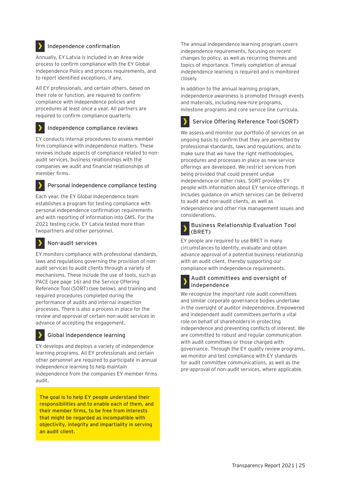#### **Independence confirmation**

Annually, EY Latvia is included in an Area-wide process to confirm compliance with the EY Global Independence Policy and process requirements, and to report identified exceptions, if any.

All EY professionals, and certain others, based on their role or function, are required to confirm compliance with independence policies and procedures at least once a year. All partners are required to confirm compliance quarterly.

#### **Independence compliance reviews**

EY conducts internal procedures to assess member firm compliance with independence matters. These reviews include aspects of compliance related to nonaudit services, business relationships with the companies we audit and financial relationships of member firms.

#### **Personal independence compliance testing**

Each year, the EY Global Independence team establishes a program for testing compliance with personal independence confirmation requirements and with reporting of information into GMS. For the 2021 testing cycle, EY Latvia tested more than twopartners and other personnel.

#### **Non-audit services**

EY monitors compliance with professional standards, laws and regulations governing the provision of nonaudit services to audit clients through a variety of mechanisms. These include the use of tools, such as PACE (see page 16) and the Service Offering Reference Tool (SORT) (see below), and training and required procedures completed during the performance of audits and internal inspection processes. There is also a process in place for the review and approval of certain non-audit services in advance of accepting the engagement.

#### **Global independence learning**

EY develops and deploys a variety of independence learning programs. All EY professionals and certain other personnel are required to participate in annual independence learning to help maintain independence from the companies EY member firms audit.

**The goal is to help EY people understand their responsibilities and to enable each of them, and their member firms, to be free from interests that might be regarded as incompatible with objectivity, integrity and impartiality in serving an audit client.**

The annual independence learning program covers independence requirements, focusing on recent changes to policy, as well as recurring themes and topics of importance. Timely completion of annual independence learning is required and is monitored closely.

In addition to the annual learning program, independence awareness is promoted through events and materials, including new-hire programs, milestone programs and core service line curricula.

#### **Service Offering Reference Tool (SORT)**

We assess and monitor our portfolio of services on an ongoing basis to confirm that they are permitted by professional standards, laws and regulations, and to make sure that we have the right methodologies, procedures and processes in place as new service offerings are developed. We restrict services from being provided that could present undue independence or other risks. SORT provides EY people with information about EY service offerings. It includes guidance on which services can be delivered to audit and non-audit clients, as well as independence and other risk management issues and considerations.

#### **Business Relationship Evaluation Tool (BRET)**

EY people are required to use BRET in many circumstances to identify, evaluate and obtain advance approval of a potential business relationship with an audit client, thereby supporting our compliance with independence requirements.

#### **Audit committees and oversight of independence**

We recognize the important role audit committees and similar corporate governance bodies undertake in the oversight of auditor independence. Empowered and independent audit committees perform a vital role on behalf of shareholders in protecting independence and preventing conflicts of interest. We are committed to robust and regular communication with audit committees or those charged with governance. Through the EY quality review programs, we monitor and test compliance with EY standards for audit committee communications, as well as the pre-approval of non-audit services, where applicable.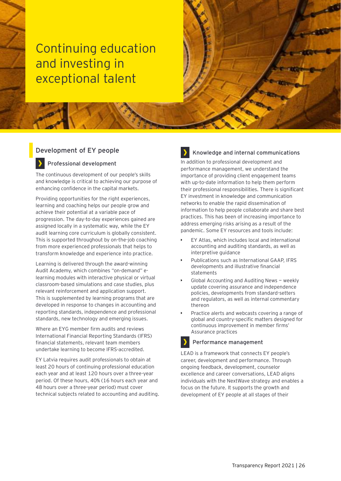## <span id="page-25-0"></span>Continuing education and investing in exceptional talent

#### <span id="page-25-1"></span>**Development of EY people**

#### **Professional development**

The continuous development of our people's skills and knowledge is critical to achieving our purpose of enhancing confidence in the capital markets.

Providing opportunities for the right experiences, learning and coaching helps our people grow and achieve their potential at a variable pace of progression. The day-to-day experiences gained are assigned locally in a systematic way, while the EY audit learning core curriculum is globally consistent. This is supported throughout by on-the-job coaching from more experienced professionals that helps to transform knowledge and experience into practice.

Learning is delivered through the award-winning Audit Academy, which combines "on-demand" elearning modules with interactive physical or virtual classroom-based simulations and case studies, plus relevant reinforcement and application support. This is supplemented by learning programs that are developed in response to changes in accounting and reporting standards, independence and professional standards, new technology and emerging issues.

Where an EYG member firm audits and reviews International Financial Reporting Standards (IFRS) financial statements, relevant team members undertake learning to become IFRS-accredited.

EY Latvia requires audit professionals to obtain at least 20 hours of continuing professional education each year and at least 120 hours over a three-year period. Of these hours, 40% (16 hours each year and 48 hours over a three-year period) must cover technical subjects related to accounting and auditing.

#### **Knowledge and internal communications**

In addition to professional development and performance management, we understand the importance of providing client engagement teams with up-to-date information to help them perform their professional responsibilities. There is significant EY investment in knowledge and communication networks to enable the rapid dissemination of information to help people collaborate and share best practices. This has been of increasing importance to address emerging risks arising as a result of the pandemic. Some EY resources and tools include:

- EY Atlas, which includes local and international accounting and auditing standards, as well as interpretive guidance
- Publications such as International GAAP, IFRS developments and illustrative financial statements
- Global Accounting and Auditing News weekly update covering assurance and independence policies, developments from standard-setters and regulators, as well as internal commentary thereon
- Practice alerts and webcasts covering a range of global and country-specific matters designed for continuous improvement in member firms' Assurance practices

#### **Performance management**

LEAD is a framework that connects EY people's career, development and performance. Through ongoing feedback, development, counselor excellence and career conversations, LEAD aligns individuals with the NextWave strategy and enables a focus on the future. It supports the growth and development of EY people at all stages of their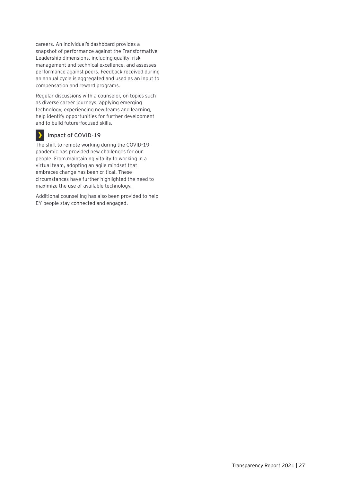careers. An individual's dashboard provides a snapshot of performance against the Transformative Leadership dimensions, including quality, risk management and technical excellence, and assesses performance against peers. Feedback received during an annual cycle is aggregated and used as an input to compensation and reward programs.

Regular discussions with a counselor, on topics such as diverse career journeys, applying emerging technology, experiencing new teams and learning, help identify opportunities for further development and to build future-focused skills.

#### **Impact of COVID-19**

The shift to remote working during the COVID-19 pandemic has provided new challenges for our people. From maintaining vitality to working in a virtual team, adopting an agile mindset that embraces change has been critical. These circumstances have further highlighted the need to maximize the use of available technology.

Additional counselling has also been provided to help EY people stay connected and engaged.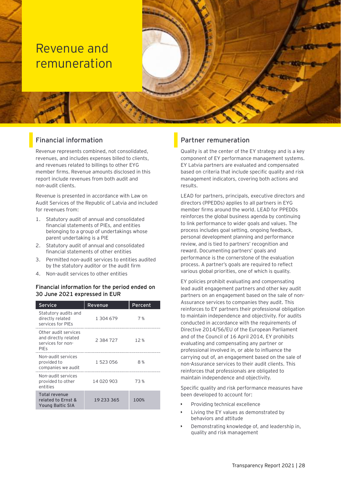## <span id="page-27-0"></span>Revenue and remuneration

### <span id="page-27-1"></span>**Financial information**

Revenue represents combined, not consolidated, revenues, and includes expenses billed to clients, and revenues related to billings to other EYG member firms. Revenue amounts disclosed in this report include revenues from both audit and non-audit clients.

Revenue is presented in accordance with Law on Audit Services of the Republic of Latvia and included for revenues from:

- 1. Statutory audit of annual and consolidated financial statements of PIEs, and entities belonging to a group of undertakings whose parent undertaking is a PIE
- 2. Statutory audit of annual and consolidated financial statements of other entities
- 3. Permitted non-audit services to entities audited by the statutory auditor or the audit firm
- 4. Non-audit services to other entities

#### **Financial information for the period ended on 30 June 2021 expressed in EUR**

| <b>Service</b>                                                                   | Revenue    | Percent |
|----------------------------------------------------------------------------------|------------|---------|
| Statutory audits and<br>directly related<br>services for PIEs                    | 1 304 679  | 7%      |
| Other audit services<br>and directly related<br>services for non-<br><b>PIES</b> | 2 384 727  | 12%     |
| Non-audit services<br>provided to<br>companies we audit                          | 1 523 056  | 8 %     |
| Non-audit services<br>provided to other<br>entities                              | 14 020 903 | 73%     |
| Total revenue<br>related to Ernst &<br>Young Baltic SIA                          | 19 233 365 | 100%    |

#### <span id="page-27-2"></span>**Partner remuneration**

Quality is at the center of the EY strategy and is a key component of EY performance management systems. EY Latvia partners are evaluated and compensated based on criteria that include specific quality and risk management indicators, covering both actions and results.

LEAD for partners, principals, executive directors and directors (PPEDDs) applies to all partners in EYG member firms around the world. LEAD for PPEDDs reinforces the global business agenda by continuing to link performance to wider goals and values. The process includes goal setting, ongoing feedback, personal development planning and performance review, and is tied to partners' recognition and reward. Documenting partners' goals and performance is the cornerstone of the evaluation process. A partner's goals are required to reflect various global priorities, one of which is quality.

EY policies prohibit evaluating and compensating lead audit engagement partners and other key audit partners on an engagement based on the sale of non-Assurance services to companies they audit. This reinforces to EY partners their professional obligation to maintain independence and objectivity. For audits conducted in accordance with the requirements of Directive 2014/56/EU of the European Parliament and of the Council of 16 April 2014, EY prohibits evaluating and compensating any partner or professional involved in, or able to influence the carrying out of, an engagement based on the sale of non-Assurance services to their audit clients. This reinforces that professionals are obligated to maintain independence and objectivity.

Specific quality and risk performance measures have been developed to account for:

- Providing technical excellence
- Living the EY values as demonstrated by behaviors and attitude
- Demonstrating knowledge of, and leadership in, quality and risk management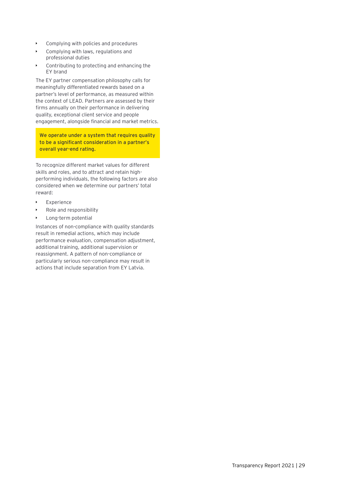- Complying with policies and procedures
- Complying with laws, regulations and professional duties
- Contributing to protecting and enhancing the EY brand

The EY partner compensation philosophy calls for meaningfully differentiated rewards based on a partner's level of performance, as measured within the context of LEAD. Partners are assessed by their firms annually on their performance in delivering quality, exceptional client service and people engagement, alongside financial and market metrics.

**We operate under a system that requires quality to be a significant consideration in a partner's overall year-end rating.**

To recognize different market values for different skills and roles, and to attract and retain highperforming individuals, the following factors are also considered when we determine our partners' total reward:

- Experience
- Role and responsibility
- Long-term potential

Instances of non-compliance with quality standards result in remedial actions, which may include performance evaluation, compensation adjustment, additional training, additional supervision or reassignment. A pattern of non-compliance or particularly serious non-compliance may result in actions that include separation from EY Latvia.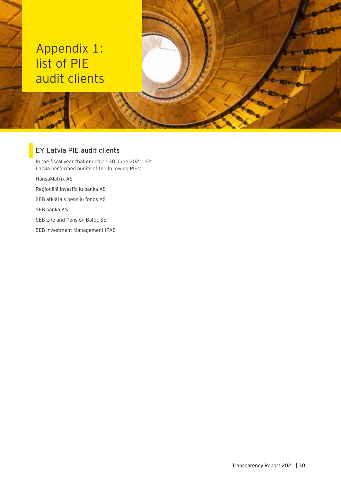## <span id="page-29-0"></span>Appendix 1: list of PIE audit clients

### <span id="page-29-1"></span>**EY Latvia PIE audit clients**

In the fiscal year that ended on 30 June 2021, EY Latvia performed audits of the following PIEs:

HansaMatrix AS

Reģionālā investīciju banka AS

SEB atklātais pensiju fonds AS

SEB banka AS

SEB Life and Pension Baltic SE

SEB Investment Management IPAS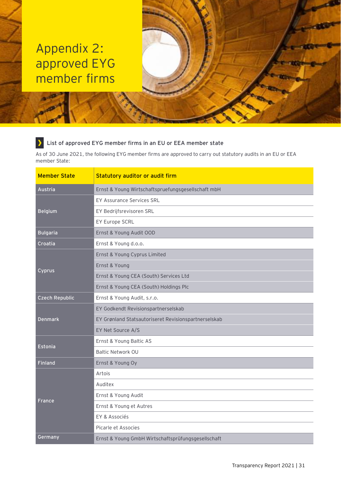## <span id="page-30-0"></span>Appendix 2: approved EYG member firms

#### **List of approved EYG member firms in an EU or EEA member state**  $\rightarrow$

As of 30 June 2021, the following EYG member firms are approved to carry out statutory audits in an EU or EEA member State:

| <b>Member State</b>   | Statutory auditor or audit firm                      |  |  |  |  |
|-----------------------|------------------------------------------------------|--|--|--|--|
| Austria               | Ernst & Young Wirtschaftspruefungsgesellschaft mbH   |  |  |  |  |
|                       | <b>EY Assurance Services SRL</b>                     |  |  |  |  |
| <b>Belgium</b>        | EY Bedrijfsrevisoren SRL                             |  |  |  |  |
|                       | EY Europe SCRL                                       |  |  |  |  |
| <b>Bulgaria</b>       | Ernst & Young Audit OOD                              |  |  |  |  |
| Croatia               | Ernst & Young d.o.o.                                 |  |  |  |  |
|                       | Ernst & Young Cyprus Limited                         |  |  |  |  |
|                       | Ernst & Young                                        |  |  |  |  |
| Cyprus                | Ernst & Young CEA (South) Services Ltd               |  |  |  |  |
|                       | Ernst & Young CEA (South) Holdings Plc               |  |  |  |  |
| <b>Czech Republic</b> | Ernst & Young Audit, s.r.o.                          |  |  |  |  |
|                       | EY Godkendt Revisionspartnerselskab                  |  |  |  |  |
| <b>Denmark</b>        | EY Grønland Statsautoriseret Revisionspartnerselskab |  |  |  |  |
|                       | EY Net Source A/S                                    |  |  |  |  |
| Estonia               | Ernst & Young Baltic AS                              |  |  |  |  |
|                       | <b>Baltic Network OU</b>                             |  |  |  |  |
| <b>Finland</b>        | Ernst & Young Oy                                     |  |  |  |  |
|                       | Artois                                               |  |  |  |  |
|                       | Auditex                                              |  |  |  |  |
|                       | Ernst & Young Audit                                  |  |  |  |  |
| <b>France</b>         | Ernst & Young et Autres                              |  |  |  |  |
|                       | EY & Associés                                        |  |  |  |  |
|                       | Picarle et Associes                                  |  |  |  |  |
| Germany               | Ernst & Young GmbH Wirtschaftsprüfungsgesellschaft   |  |  |  |  |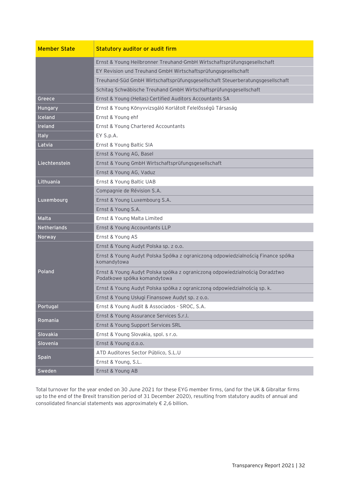| <b>Member State</b> | <b>Statutory auditor or audit firm</b>                                                                       |  |  |
|---------------------|--------------------------------------------------------------------------------------------------------------|--|--|
|                     | Ernst & Young Heilbronner Treuhand-GmbH Wirtschaftsprüfungsgesellschaft                                      |  |  |
|                     | EY Revision und Treuhand GmbH Wirtschaftsprüfungsgesellschaft                                                |  |  |
|                     | Treuhand-Süd GmbH Wirtschaftsprüfungsgesellschaft Steuerberatungsgesellschaft                                |  |  |
|                     | Schitag Schwäbische Treuhand GmbH Wirtschaftsprüfungsgesellschaft                                            |  |  |
| Greece              | Ernst & Young (Hellas) Certified Auditors Accountants SA                                                     |  |  |
| Hungary             | Ernst & Young Könyvvizsgáló Korlátolt Felelősségû Társaság                                                   |  |  |
| <b>Iceland</b>      | Ernst & Young ehf                                                                                            |  |  |
| Ireland             | Ernst & Young Chartered Accountants                                                                          |  |  |
| <b>Italy</b>        | EY S.p.A.                                                                                                    |  |  |
| Latvia              | Ernst & Young Baltic SIA                                                                                     |  |  |
|                     | Ernst & Young AG, Basel                                                                                      |  |  |
| Liechtenstein       | Ernst & Young GmbH Wirtschaftsprüfungsgesellschaft                                                           |  |  |
|                     | Ernst & Young AG, Vaduz                                                                                      |  |  |
| Lithuania           | Ernst & Young Baltic UAB                                                                                     |  |  |
|                     | Compagnie de Révision S.A.                                                                                   |  |  |
| Luxembourg          | Ernst & Young Luxembourg S.A.                                                                                |  |  |
|                     | Ernst & Young S.A.                                                                                           |  |  |
| Malta               | Ernst & Young Malta Limited                                                                                  |  |  |
| <b>Netherlands</b>  | Ernst & Young Accountants LLP                                                                                |  |  |
| Norway              | Ernst & Young AS                                                                                             |  |  |
|                     | Ernst & Young Audyt Polska sp. z o.o.                                                                        |  |  |
|                     | Ernst & Young Audyt Polska Spółka z ograniczoną odpowiedzialnością Finance spółka<br>komandytowa             |  |  |
| Poland              | Ernst & Young Audyt Polska spółka z ograniczoną odpowiedzialnością Doradztwo<br>Podatkowe spółka komandytowa |  |  |
|                     | Ernst & Young Audyt Polska spółka z ograniczoną odpowiedzialnością sp. k.                                    |  |  |
|                     | Ernst & Young Usługi Finansowe Audyt sp. z o.o.                                                              |  |  |
| Portugal            | Ernst & Young Audit & Associados - SROC, S.A.                                                                |  |  |
|                     | Ernst & Young Assurance Services S.r.l.                                                                      |  |  |
| Romania             | Ernst & Young Support Services SRL                                                                           |  |  |
| Slovakia            | Ernst & Young Slovakia, spol. s r.o.                                                                         |  |  |
| Slovenia            | Ernst & Young d.o.o.                                                                                         |  |  |
|                     | ATD Auditores Sector Público, S.L.U                                                                          |  |  |
| <b>Spain</b>        | Ernst & Young, S.L.                                                                                          |  |  |
| Sweden              | Ernst & Young AB                                                                                             |  |  |

Total turnover for the year ended on 30 June 2021 for these EYG member firms, (and for the UK & Gibraltar firms up to the end of the Brexit transition period of 31 December 2020), resulting from statutory audits of annual and consolidated financial statements was approximately € 2,6 billion.